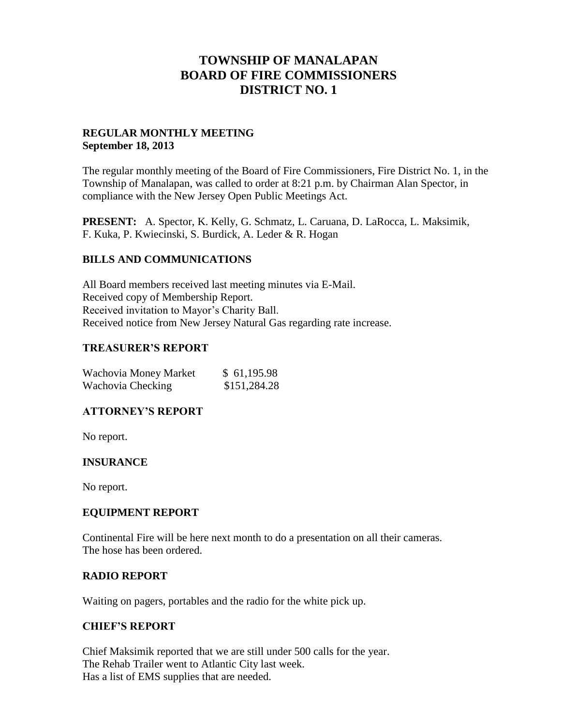# **TOWNSHIP OF MANALAPAN BOARD OF FIRE COMMISSIONERS DISTRICT NO. 1**

## **REGULAR MONTHLY MEETING September 18, 2013**

The regular monthly meeting of the Board of Fire Commissioners, Fire District No. 1, in the Township of Manalapan, was called to order at 8:21 p.m. by Chairman Alan Spector, in compliance with the New Jersey Open Public Meetings Act.

**PRESENT:** A. Spector, K. Kelly, G. Schmatz, L. Caruana, D. LaRocca, L. Maksimik, F. Kuka, P. Kwiecinski, S. Burdick, A. Leder & R. Hogan

### **BILLS AND COMMUNICATIONS**

All Board members received last meeting minutes via E-Mail. Received copy of Membership Report. Received invitation to Mayor's Charity Ball. Received notice from New Jersey Natural Gas regarding rate increase.

### **TREASURER'S REPORT**

| Wachovia Money Market | \$61,195.98  |
|-----------------------|--------------|
| Wachovia Checking     | \$151,284.28 |

### **ATTORNEY'S REPORT**

No report.

## **INSURANCE**

No report.

### **EQUIPMENT REPORT**

Continental Fire will be here next month to do a presentation on all their cameras. The hose has been ordered.

### **RADIO REPORT**

Waiting on pagers, portables and the radio for the white pick up.

## **CHIEF'S REPORT**

Chief Maksimik reported that we are still under 500 calls for the year. The Rehab Trailer went to Atlantic City last week. Has a list of EMS supplies that are needed.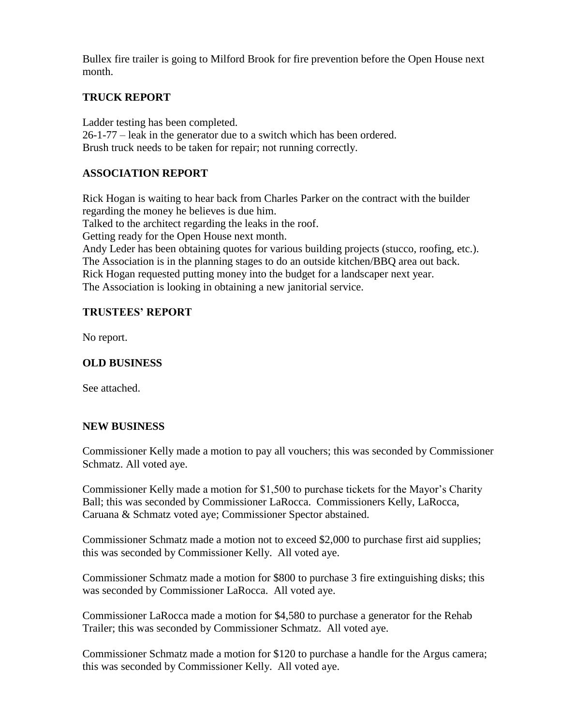Bullex fire trailer is going to Milford Brook for fire prevention before the Open House next month.

## **TRUCK REPORT**

Ladder testing has been completed. 26-1-77 – leak in the generator due to a switch which has been ordered. Brush truck needs to be taken for repair; not running correctly.

## **ASSOCIATION REPORT**

Rick Hogan is waiting to hear back from Charles Parker on the contract with the builder regarding the money he believes is due him. Talked to the architect regarding the leaks in the roof. Getting ready for the Open House next month. Andy Leder has been obtaining quotes for various building projects (stucco, roofing, etc.). The Association is in the planning stages to do an outside kitchen/BBQ area out back. Rick Hogan requested putting money into the budget for a landscaper next year. The Association is looking in obtaining a new janitorial service.

## **TRUSTEES' REPORT**

No report.

## **OLD BUSINESS**

See attached.

### **NEW BUSINESS**

Commissioner Kelly made a motion to pay all vouchers; this was seconded by Commissioner Schmatz. All voted aye.

Commissioner Kelly made a motion for \$1,500 to purchase tickets for the Mayor's Charity Ball; this was seconded by Commissioner LaRocca. Commissioners Kelly, LaRocca, Caruana & Schmatz voted aye; Commissioner Spector abstained.

Commissioner Schmatz made a motion not to exceed \$2,000 to purchase first aid supplies; this was seconded by Commissioner Kelly. All voted aye.

Commissioner Schmatz made a motion for \$800 to purchase 3 fire extinguishing disks; this was seconded by Commissioner LaRocca. All voted aye.

Commissioner LaRocca made a motion for \$4,580 to purchase a generator for the Rehab Trailer; this was seconded by Commissioner Schmatz. All voted aye.

Commissioner Schmatz made a motion for \$120 to purchase a handle for the Argus camera; this was seconded by Commissioner Kelly. All voted aye.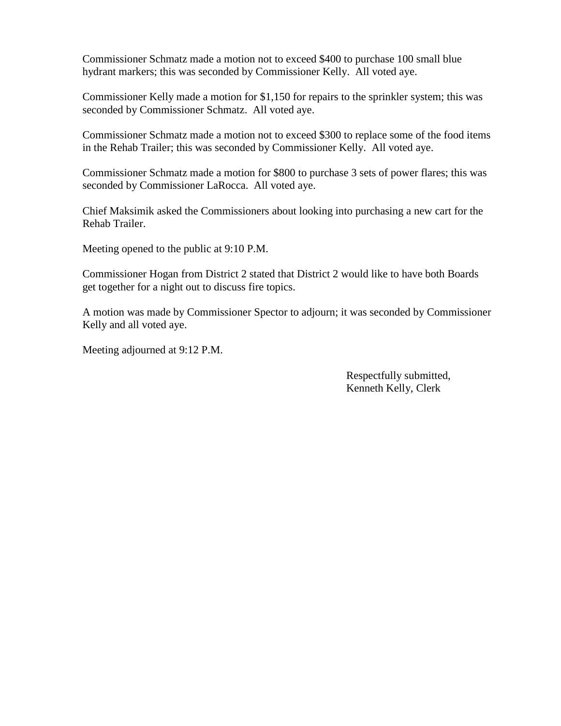Commissioner Schmatz made a motion not to exceed \$400 to purchase 100 small blue hydrant markers; this was seconded by Commissioner Kelly. All voted aye.

Commissioner Kelly made a motion for \$1,150 for repairs to the sprinkler system; this was seconded by Commissioner Schmatz. All voted aye.

Commissioner Schmatz made a motion not to exceed \$300 to replace some of the food items in the Rehab Trailer; this was seconded by Commissioner Kelly. All voted aye.

Commissioner Schmatz made a motion for \$800 to purchase 3 sets of power flares; this was seconded by Commissioner LaRocca. All voted aye.

Chief Maksimik asked the Commissioners about looking into purchasing a new cart for the Rehab Trailer.

Meeting opened to the public at 9:10 P.M.

Commissioner Hogan from District 2 stated that District 2 would like to have both Boards get together for a night out to discuss fire topics.

A motion was made by Commissioner Spector to adjourn; it was seconded by Commissioner Kelly and all voted aye.

Meeting adjourned at 9:12 P.M.

 Respectfully submitted, Kenneth Kelly, Clerk